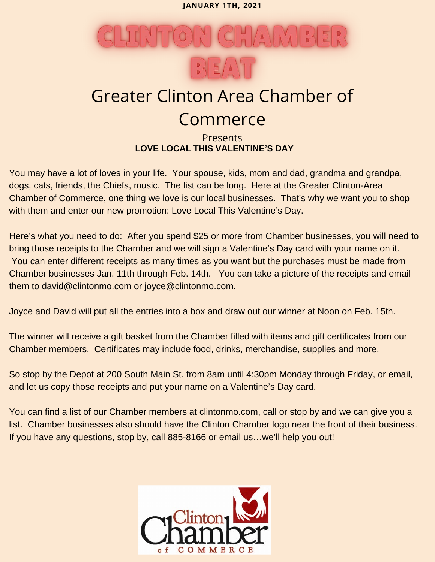**JANUARY 1TH, 2021**



# **Commerce**

# **Presents LOVE LOCAL THIS VALENTINE'S DAY**

You may have a lot of loves in your life. Your spouse, kids, mom and dad, grandma and grandpa, dogs, cats, friends, the Chiefs, music. The list can be long. Here at the Greater Clinton-Area Chamber of Commerce, one thing we love is our local businesses. That's why we want you to shop with them and enter our new promotion: Love Local This Valentine's Day.

Here's what you need to do: After you spend \$25 or more from Chamber businesses, you will need to bring those receipts to the Chamber and we will sign a Valentine's Day card with your name on it. You can enter different receipts as many times as you want but the purchases must be made from Chamber businesses Jan. 11th through Feb. 14th. You can take a picture of the receipts and email them to david@clintonmo.com or joyce@clintonmo.com.

Joyce and David will put all the entries into a box and draw out our winner at Noon on Feb. 15th.

The winner will receive a gift basket from the Chamber filled with items and gift certificates from our Chamber members. Certificates may include food, drinks, merchandise, supplies and more.

So stop by the Depot at 200 South Main St. from 8am until 4:30pm Monday through Friday, or email, and let us copy those receipts and put your name on a Valentine's Day card.

You can find a list of our Chamber members at clintonmo.com, call or stop by and we can give you a list. Chamber businesses also should have the Clinton Chamber logo near the front of their business. If you have any questions, stop by, call 885-8166 or email us…we'll help you out!

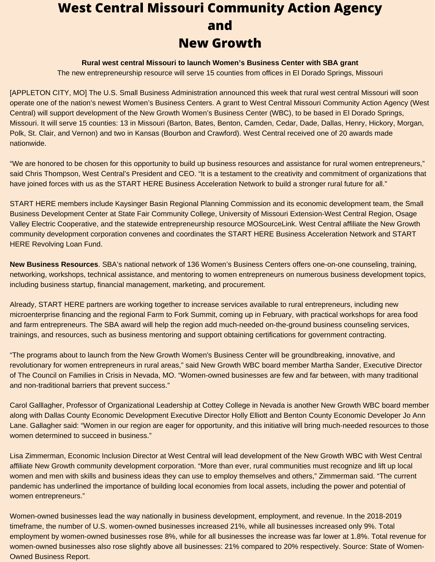# **West Central Missouri Community Action Agency and New Growth**

#### **Rural west central Missouri to launch Women's Business Center with SBA grant**

The new entrepreneurship resource will serve 15 counties from offices in El Dorado Springs, Missouri

[APPLETON CITY, MO] The U.S. Small Business Administration announced this week that rural west central Missouri will soon operate one of the nation's newest Women's Business Centers. A grant to West Central Missouri Community Action Agency (West Central) will support development of the New Growth Women's Business Center (WBC), to be based in El Dorado Springs, Missouri. It will serve 15 counties: 13 in Missouri (Barton, Bates, Benton, Camden, Cedar, Dade, Dallas, Henry, Hickory, Morgan, Polk, St. Clair, and Vernon) and two in Kansas (Bourbon and Crawford). West Central received one of 20 awards made nationwide.

"We are honored to be chosen for this opportunity to build up business resources and assistance for rural women entrepreneurs," said Chris Thompson, West Central's President and CEO. "It is a testament to the creativity and commitment of organizations that have joined forces with us as the START HERE Business Acceleration Network to build a stronger rural future for all."

START HERE members include Kaysinger Basin Regional Planning Commission and its economic development team, the Small Business Development Center at State Fair Community College, University of Missouri Extension-West Central Region, Osage Valley Electric Cooperative, and the statewide entrepreneurship resource MOSourceLink. West Central affiliate the New Growth community development corporation convenes and coordinates the START HERE Business Acceleration Network and START HERE Revolving Loan Fund.

**New Business Resources**. SBA's national network of 136 Women's Business Centers offers one-on-one counseling, training, networking, workshops, technical assistance, and mentoring to women entrepreneurs on numerous business development topics, including business startup, financial management, marketing, and procurement.

Already, START HERE partners are working together to increase services available to rural entrepreneurs, including new microenterprise financing and the regional Farm to Fork Summit, coming up in February, with practical workshops for area food and farm entrepreneurs. The SBA award will help the region add much-needed on-the-ground business counseling services, trainings, and resources, such as business mentoring and support obtaining certifications for government contracting.

"The programs about to launch from the New Growth Women's Business Center will be groundbreaking, innovative, and revolutionary for women entrepreneurs in rural areas," said New Growth WBC board member Martha Sander, Executive Director of The Council on Families in Crisis in Nevada, MO. "Women-owned businesses are few and far between, with many traditional and non-traditional barriers that prevent success."

Carol Galllagher, Professor of Organizational Leadership at Cottey College in Nevada is another New Growth WBC board member along with Dallas County Economic Development Executive Director Holly Elliott and Benton County Economic Developer Jo Ann Lane. Gallagher said: "Women in our region are eager for opportunity, and this initiative will bring much-needed resources to those women determined to succeed in business."

Lisa Zimmerman, Economic Inclusion Director at West Central will lead development of the New Growth WBC with West Central affiliate New Growth community development corporation. "More than ever, rural communities must recognize and lift up local women and men with skills and business ideas they can use to employ themselves and others," Zimmerman said. "The current pandemic has underlined the importance of building local economies from local assets, including the power and potential of women entrepreneurs."

Women-owned businesses lead the way nationally in business development, employment, and revenue. In the 2018-2019 timeframe, the number of U.S. women-owned businesses increased 21%, while all businesses increased only 9%. Total employment by women-owned businesses rose 8%, while for all businesses the increase was far lower at 1.8%. Total revenue for women-owned businesses also rose slightly above all businesses: 21% compared to 20% respectively. Source: State of Women-Owned Business Report.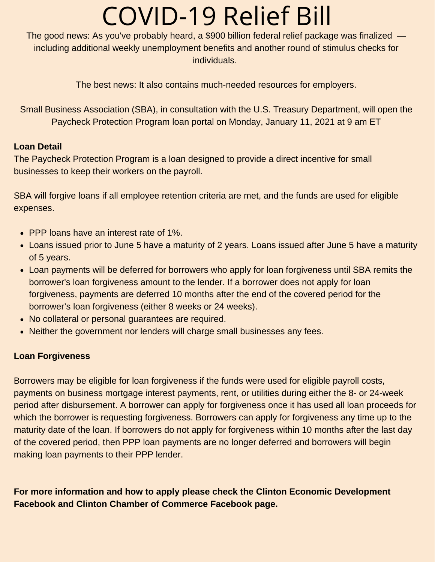# COVID-19 Relief Bill

The good news: As you've probably heard, a \$900 billion federal relief package was finalized including additional weekly unemployment benefits and another round of stimulus checks for individuals.

The best news: It also contains much-needed resources for employers.

Small Business Association (SBA), in consultation with the U.S. Treasury Department, will open the Paycheck Protection Program loan portal on Monday, January 11, 2021 at 9 am ET

## **Loan Detail**

The Paycheck Protection Program is a loan designed to provide a direct incentive for small businesses to keep their workers on the payroll.

SBA will forgive loans if all employee retention criteria are met, and the funds are used for eligible expenses.

- PPP loans have an interest rate of 1%.
- Loans issued prior to June 5 have a maturity of 2 years. Loans issued after June 5 have a maturity of 5 years.
- Loan payments will be deferred for borrowers who apply for loan forgiveness until SBA remits the borrower's loan forgiveness amount to the lender. If a borrower does not apply for loan forgiveness, payments are deferred 10 months after the end of the covered period for the borrower's loan forgiveness (either 8 weeks or 24 weeks).
- No collateral or personal guarantees are required.
- Neither the government nor lenders will charge small businesses any fees.

## **Loan Forgiveness**

Borrowers may be eligible for loan forgiveness if the funds were used for eligible payroll costs, payments on business mortgage interest payments, rent, or utilities during either the 8- or 24-week period after disbursement. A borrower can apply for forgiveness once it has used all loan proceeds for which the borrower is requesting forgiveness. Borrowers can apply for forgiveness any time up to the maturity date of the loan. If borrowers do not apply for forgiveness within 10 months after the last day of the covered period, then PPP loan payments are no longer deferred and borrowers will begin making loan payments to their PPP lender.

**For more information and how to apply please check the Clinton Economic Development Facebook and Clinton Chamber of Commerce Facebook page.**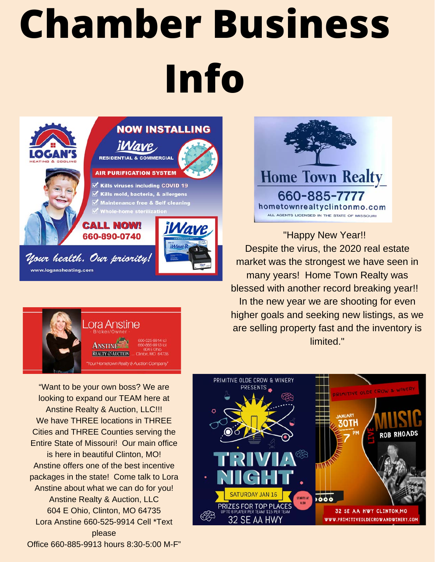# **Chamber Business Info**



# **NOW INSTALLING**

*iWave* 



**AIR PURIFICATION SYSTEM** 

Kills viruses including COVID 19  $\overrightarrow{S}$  Kills mold, bacteria, & allergens Maintenance free & Self cleaning Whole-home steriliza

### **CALL NOW!** 660-890-0740



Your health. Our priority! www.logansheating.com



"Want to be your own boss? We are looking to expand our TEAM here at Anstine Realty & Auction, LLC!!! We have THREE locations in THREE Cities and THREE Counties serving the Entire State of Missouri! Our main office is here in beautiful Clinton, MO! Anstine offers one of the best incentive packages in the state! Come talk to Lora Anstine about what we can do for you! Anstine Realty & Auction, LLC 604 E Ohio, Clinton, MO 64735 Lora Anstine 660-525-9914 Cell \*Text please Office 660-885-9913 hours 8:30-5:00 M-F"



"Happy New Year!! Despite the virus, the 2020 real estate market was the strongest we have seen in many years! Home Town Realty was blessed with another record breaking year!! In the new year we are shooting for even higher goals and seeking new listings, as we are selling property fast and the inventory is limited."

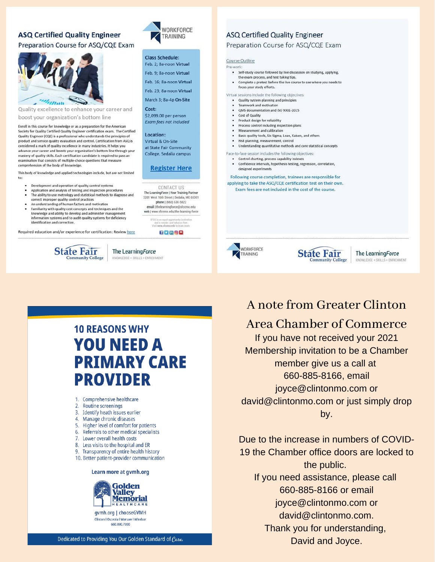#### **ASQ Certified Quality Engineer**

#### Preparation Course for ASQ/CQE Exam



Quality excellence to enhance your career and boost your organization's bottom line

Enroll in this course for knowledge or as a preparation for the American Society for Quality Certified Quality Engineer certification exam. The Certified Quality Engineer (CQE) is a professional who understands the principles of product and service quality evaluation and control. Certification from ASQ is considered a mark of quality excellence in many industries. It helps you advance your career and boosts your organization's bottom line through your mastery of quality skills. Each certification candidate is required to pass an examination that consists of multiple-choice questions that measure comprehension of the body of knowledge.

This body of knowledge and applied technologies include, but are not limited to:

- $\ddot{\phantom{a}}$ Development and operation of quality control systems
- Application and analysis of testing and inspection procedures The ability to use metrology and statistical methods to diagnose and correct improper quality control practices
- An understanding of human factors and motivation
- Familiarity with quality cost concepts and techniques and the knowledge and ability to develop and administer management information systems and to audit quality systems for deficiency identification and correction.

Required education and/or experience for certification: Review here





#### Class Schedule:

Feb. 2; 8a-noon Virtual Feb. 9: 8a-noon Virtual Feb 16: 8a-noon Virtual Feb. 23: 8a-noon Virtual March 3: 8a-4p On-Site Cost:

\$2,099.00 per person **Exam fees not included** 

#### Location: Virtual & On-Site

at State Fair Community College, Sedalia campus

#### **Register Here**

CONTACT US The Learning Force | Your Training Partner<br>3201 West 16th Street | Sedalia, MO 65301 phone | (660) 530-5822 email | thelearningforce@sfccmo.edu web | www.sfccmo.edu/the-learning-force

17**mon** 

#### **ASQ Certified Quality Engineer**

Preparation Course for ASQ/CQE Exam

#### Course Outline

- Pre-work • Self-study course followed by live discussion on studying, applying.
	- the exam process, and test taking tips. Complete a pretest before the live course to see where you needs to
	- focus your study efforts.

#### Virtual sessions include the following objectives: • Quality system planning and principles

- Teamwork and motivation
- · QMS documentation and ISO 9001-2015
- Cost of Quality
- · Product design for reliability
- Process control including inspection plans • Measurement and calibration
- . Basic quality tools, Six Sigma, Lean, Kaisen, and others
- Risk planning, measurement, control
- Understanding quantitative methods and core statistical concepts
- Face-to-face session includes the following objectives
- Control charting, process capability indexes
- Confidence intervals, hypothesis testing, regression, correlation, designed experiments

Following course completion, trainees are responsible for applying to take the ASO/COE certification test on their own. Exam fees are not included in the cost of the course.





The Learning Force KNOWLEDGE + SKILLS + ENRICHMENT

# **10 REASONS WHY YOU NEED A PRIMARY CARE PROVIDER**

The LearningForce

DGE + SKILLS + ENRICHMENT

- 1. Comprehensive healthcare
- 2. Routine screenings
- 3. Identify heath issues earlier
- 4. Manage chronic diseases
- 5. Higher level of comfort for patients
- 6. Referrals to other medical specialists
- 7. Lower overall health costs
- 8. Less visits to the hospital and ER
- 9. Transparency of entire health history
- 10. Better patient-provider communication

#### Learn more at gvmh.org



# A note from Greater Clinton

# Area Chamber of Commerce

If you have not received your 2021 Membership invitation to be a Chamber member give us a call at 660-885-8166, email joyce@clintonmo.com or david@clintonmo.com or just simply drop by.

Due to the increase in numbers of COVID-19 the Chamber office doors are locked to the public. If you need assistance, please call 660-885-8166 or email joyce@clintonmo.com or david@clintonmo.com. Thank you for understanding, David and Joyce.